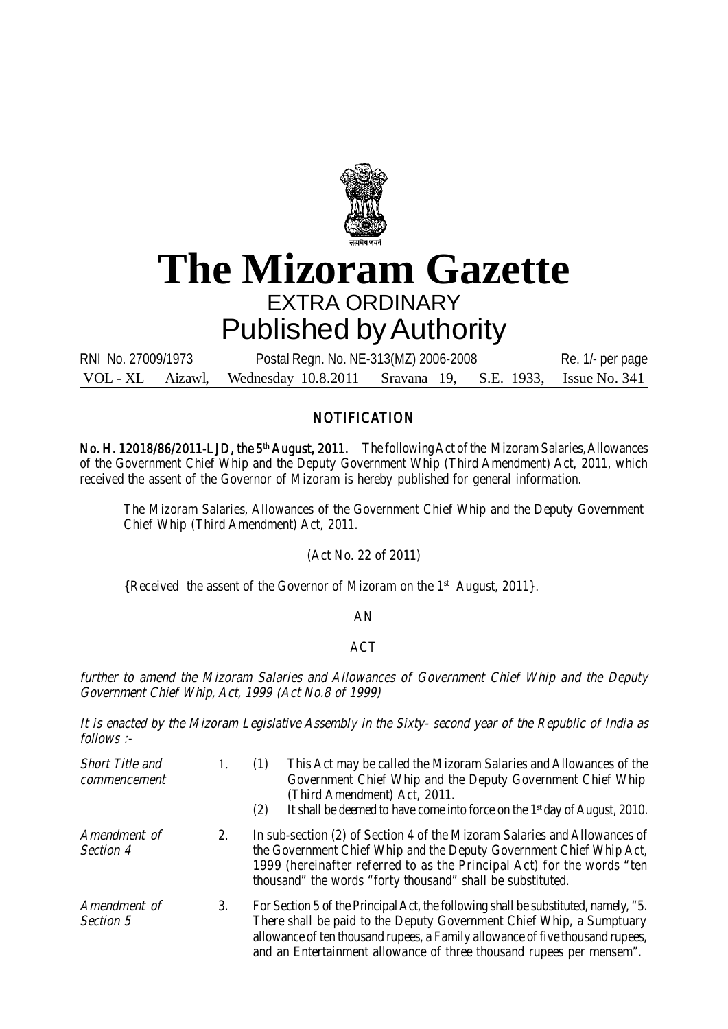

# **The Mizoram Gazette** EXTRA ORDINARY Published by Authority

VOL - XL Aizawl, Wednesday 10.8.2011 Sravana 19, S.E. 1933, Issue No. 341 RNI No. 27009/1973 Postal Regn. No. NE-313(MZ) 2006-2008 Re. 1/- per page

## **NOTIFICATION**

No. H. 12018/86/2011-LJD, the 5<sup>th</sup> August, 2011. The following Act of the Mizoram Salaries, Allowances of the Government Chief Whip and the Deputy Government Whip (Third Amendment) Act, 2011, which received the assent of the Governor of Mizoram is hereby published for general information.

The Mizoram Salaries, Allowances of the Government Chief Whip and the Deputy Government Chief Whip (Third Amendment) Act, 2011.

(Act No. 22 of 2011)

{Received the assent of the Governor of Mizoram on the 1<sup>st</sup> August, 2011}.

#### AN

### ACT

further to amend the Mizoram Salaries and Allowances of Government Chief Whip and the Deputy Government Chief Whip, Act, 1999 (Act No.8 of 1999)

It is enacted by the Mizoram Legislative Assembly in the Sixty- second year of the Republic of India as follows :-

| Short Title and<br>commencement |    | This Act may be called the Mizoram Salaries and Allowances of the<br>(1)<br>Government Chief Whip and the Deputy Government Chief Whip<br>(Third Amendment) Act, 2011.<br>It shall be deemed to have come into force on the 1 <sup>st</sup> day of August, 2010.<br>(2)                                              |  |
|---------------------------------|----|----------------------------------------------------------------------------------------------------------------------------------------------------------------------------------------------------------------------------------------------------------------------------------------------------------------------|--|
| Amendment of<br>Section 4       | 2. | In sub-section (2) of Section 4 of the Mizoram Salaries and Allowances of<br>the Government Chief Whip and the Deputy Government Chief Whip Act,<br>1999 (hereinafter referred to as the Principal Act) for the words "ten<br>thousand" the words "forty thousand" shall be substituted.                             |  |
| Amendment of<br>Section 5       | 3. | For Section 5 of the Principal Act, the following shall be substituted, namely, "5.<br>There shall be paid to the Deputy Government Chief Whip, a Sumptuary<br>allowance of ten thousand rupees, a Family allowance of five thousand rupees,<br>and an Entertainment allowance of three thousand rupees per mensem". |  |